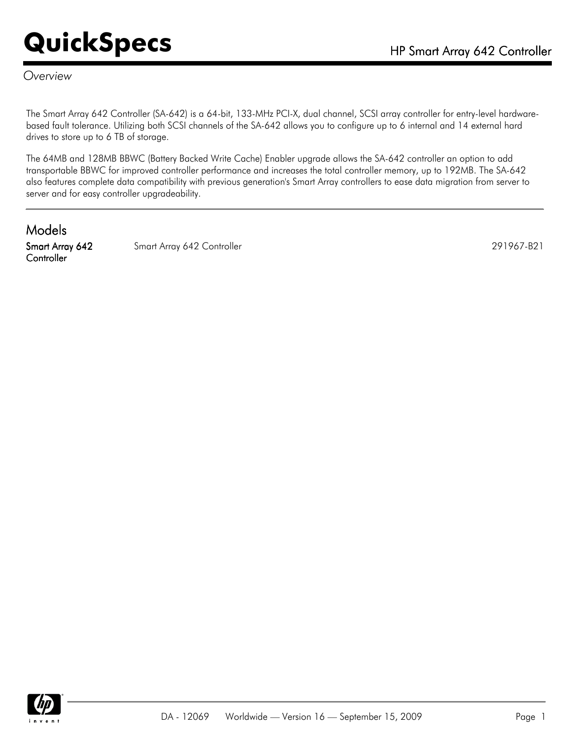#### *Overview*

The Smart Array 642 Controller (SA-642) is a 64-bit, 133-MHz PCI-X, dual channel, SCSI array controller for entry-level hardwarebased fault tolerance. Utilizing both SCSI channels of the SA-642 allows you to configure up to 6 internal and 14 external hard drives to store up to 6 TB of storage.

The 64MB and 128MB BBWC (Battery Backed Write Cache) Enabler upgrade allows the SA-642 controller an option to add transportable BBWC for improved controller performance and increases the total controller memory, up to 192MB. The SA-642 also features complete data compatibility with previous generation's Smart Array controllers to ease data migration from server to server and for easy controller upgradeability.

Models Smart Array 642 **Controller** 

Smart Array 642 Controller 291967-B21

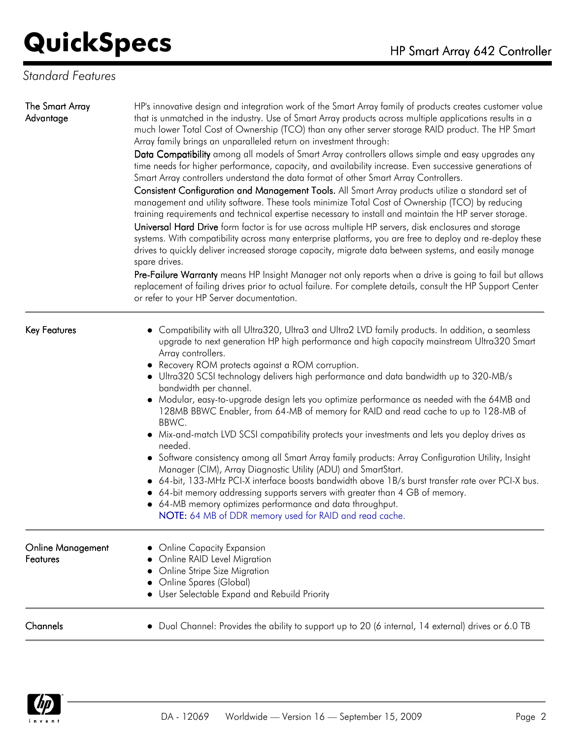#### *Standard Features*

| The Smart Array<br>Advantage         | HP's innovative design and integration work of the Smart Array family of products creates customer value<br>that is unmatched in the industry. Use of Smart Array products across multiple applications results in a<br>much lower Total Cost of Ownership (TCO) than any other server storage RAID product. The HP Smart<br>Array family brings an unparalleled return on investment through:<br>Data Compatibility among all models of Smart Array controllers allows simple and easy upgrades any<br>time needs for higher performance, capacity, and availability increase. Even successive generations of<br>Smart Array controllers understand the data format of other Smart Array Controllers.<br>Consistent Configuration and Management Tools. All Smart Array products utilize a standard set of<br>management and utility software. These tools minimize Total Cost of Ownership (TCO) by reducing<br>training requirements and technical expertise necessary to install and maintain the HP server storage.<br>Universal Hard Drive form factor is for use across multiple HP servers, disk enclosures and storage<br>systems. With compatibility across many enterprise platforms, you are free to deploy and re-deploy these<br>drives to quickly deliver increased storage capacity, migrate data between systems, and easily manage<br>spare drives.<br>Pre-Failure Warranty means HP Insight Manager not only reports when a drive is going to fail but allows<br>replacement of failing drives prior to actual failure. For complete details, consult the HP Support Center<br>or refer to your HP Server documentation. |  |
|--------------------------------------|---------------------------------------------------------------------------------------------------------------------------------------------------------------------------------------------------------------------------------------------------------------------------------------------------------------------------------------------------------------------------------------------------------------------------------------------------------------------------------------------------------------------------------------------------------------------------------------------------------------------------------------------------------------------------------------------------------------------------------------------------------------------------------------------------------------------------------------------------------------------------------------------------------------------------------------------------------------------------------------------------------------------------------------------------------------------------------------------------------------------------------------------------------------------------------------------------------------------------------------------------------------------------------------------------------------------------------------------------------------------------------------------------------------------------------------------------------------------------------------------------------------------------------------------------------------------------------------------------------------------------------------------|--|
| <b>Key Features</b>                  | Compatibility with all Ultra320, Ultra3 and Ultra2 LVD family products. In addition, a seamless<br>upgrade to next generation HP high performance and high capacity mainstream Ultra320 Smart<br>Array controllers.<br>• Recovery ROM protects against a ROM corruption.<br>• Ultra320 SCSI technology delivers high performance and data bandwidth up to 320-MB/s<br>bandwidth per channel.<br>• Modular, easy-to-upgrade design lets you optimize performance as needed with the 64MB and<br>128MB BBWC Enabler, from 64-MB of memory for RAID and read cache to up to 128-MB of<br>BBWC.<br>• Mix-and-match LVD SCSI compatibility protects your investments and lets you deploy drives as<br>needed.<br>• Software consistency among all Smart Array family products: Array Configuration Utility, Insight<br>Manager (CIM), Array Diagnostic Utility (ADU) and SmartStart.<br>• 64-bit, 133-MHz PCI-X interface boosts bandwidth above 1B/s burst transfer rate over PCI-X bus.<br>• 64-bit memory addressing supports servers with greater than 4 GB of memory.<br>• 64-MB memory optimizes performance and data throughput.<br>NOTE: 64 MB of DDR memory used for RAID and read cache.                                                                                                                                                                                                                                                                                                                                                                                                                                               |  |
| <b>Online Management</b><br>Features | <b>Online Capacity Expansion</b><br>Online RAID Level Migration<br>Online Stripe Size Migration<br>Online Spares (Global)<br>User Selectable Expand and Rebuild Priority                                                                                                                                                                                                                                                                                                                                                                                                                                                                                                                                                                                                                                                                                                                                                                                                                                                                                                                                                                                                                                                                                                                                                                                                                                                                                                                                                                                                                                                                    |  |
| Channels                             | Dual Channel: Provides the ability to support up to 20 (6 internal, 14 external) drives or 6.0 TB                                                                                                                                                                                                                                                                                                                                                                                                                                                                                                                                                                                                                                                                                                                                                                                                                                                                                                                                                                                                                                                                                                                                                                                                                                                                                                                                                                                                                                                                                                                                           |  |

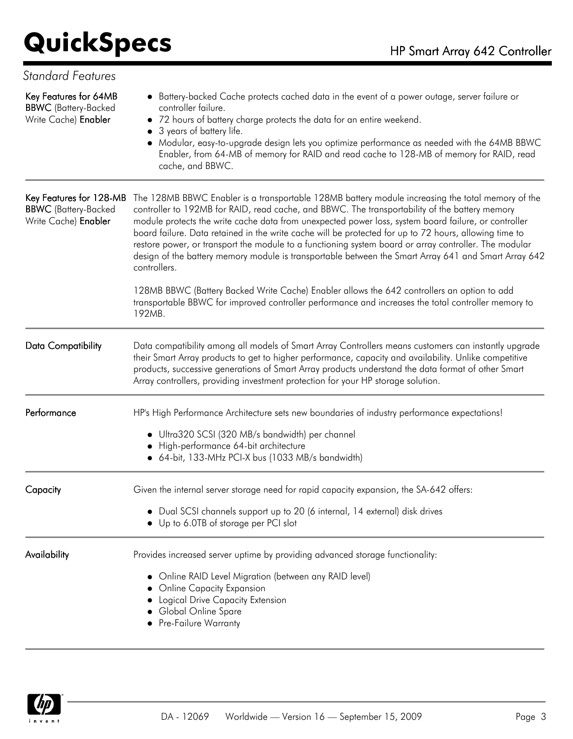| <b>Standard Features</b>                                                       |                                                                                                                                                                                                                                                                                                                                                                                                                                                                                                                                                                                                                                                        |  |
|--------------------------------------------------------------------------------|--------------------------------------------------------------------------------------------------------------------------------------------------------------------------------------------------------------------------------------------------------------------------------------------------------------------------------------------------------------------------------------------------------------------------------------------------------------------------------------------------------------------------------------------------------------------------------------------------------------------------------------------------------|--|
| Key Features for 64MB<br><b>BBWC</b> (Battery-Backed<br>Write Cache) Enabler   | • Battery-backed Cache protects cached data in the event of a power outage, server failure or<br>controller failure.<br>• 72 hours of battery charge protects the data for an entire weekend.<br>3 years of battery life.<br>• Modular, easy-to-upgrade design lets you optimize performance as needed with the 64MB BBWC<br>Enabler, from 64-MB of memory for RAID and read cache to 128-MB of memory for RAID, read<br>cache, and BBWC.                                                                                                                                                                                                              |  |
| Key Features for 128-MB<br><b>BBWC</b> (Battery-Backed<br>Write Cache) Enabler | The 128MB BBWC Enabler is a transportable 128MB battery module increasing the total memory of the<br>controller to 192MB for RAID, read cache, and BBWC. The transportability of the battery memory<br>module protects the write cache data from unexpected power loss, system board failure, or controller<br>board failure. Data retained in the write cache will be protected for up to 72 hours, allowing time to<br>restore power, or transport the module to a functioning system board or array controller. The modular<br>design of the battery memory module is transportable between the Smart Array 641 and Smart Array 642<br>controllers. |  |
|                                                                                | 128MB BBWC (Battery Backed Write Cache) Enabler allows the 642 controllers an option to add<br>transportable BBWC for improved controller performance and increases the total controller memory to<br>192MB.                                                                                                                                                                                                                                                                                                                                                                                                                                           |  |
| <b>Data Compatibility</b>                                                      | Data compatibility among all models of Smart Array Controllers means customers can instantly upgrade<br>their Smart Array products to get to higher performance, capacity and availability. Unlike competitive<br>products, successive generations of Smart Array products understand the data format of other Smart<br>Array controllers, providing investment protection for your HP storage solution.                                                                                                                                                                                                                                               |  |
| Performance                                                                    | HP's High Performance Architecture sets new boundaries of industry performance expectations!<br>· Ultra320 SCSI (320 MB/s bandwidth) per channel<br>High-performance 64-bit architecture<br>• 64-bit, 133-MHz PCI-X bus (1033 MB/s bandwidth)                                                                                                                                                                                                                                                                                                                                                                                                          |  |
| Capacity                                                                       | Given the internal server storage need for rapid capacity expansion, the SA-642 offers:<br>• Dual SCSI channels support up to 20 (6 internal, 14 external) disk drives<br>Up to 6.0TB of storage per PCI slot                                                                                                                                                                                                                                                                                                                                                                                                                                          |  |
| Availability                                                                   | Provides increased server uptime by providing advanced storage functionality:<br>• Online RAID Level Migration (between any RAID level)<br><b>Online Capacity Expansion</b><br>Logical Drive Capacity Extension<br>Global Online Spare<br>Pre-Failure Warranty                                                                                                                                                                                                                                                                                                                                                                                         |  |

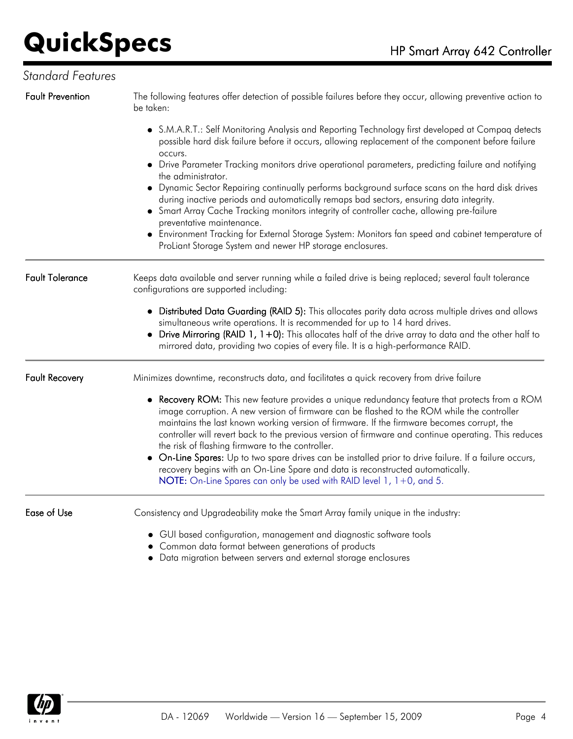#### *Standard Features*

Fault Prevention The following features offer detection of possible failures before they occur, allowing preventive action to be taken: S.M.A.R.T.: Self Monitoring Analysis and Reporting Technology first developed at Compaq detects possible hard disk failure before it occurs, allowing replacement of the component before failure occurs. Drive Parameter Tracking monitors drive operational parameters, predicting failure and notifying the administrator. Dynamic Sector Repairing continually performs background surface scans on the hard disk drives during inactive periods and automatically remaps bad sectors, ensuring data integrity. Smart Array Cache Tracking monitors integrity of controller cache, allowing pre-failure preventative maintenance. Environment Tracking for External Storage System: Monitors fan speed and cabinet temperature of ProLiant Storage System and newer HP storage enclosures. Fault Tolerance Keeps data available and server running while a failed drive is being replaced; several fault tolerance configurations are supported including: Distributed Data Guarding (RAID 5): This allocates parity data across multiple drives and allows simultaneous write operations. It is recommended for up to 14 hard drives.  $\bullet$  Drive Mirroring (RAID 1, 1+0): This allocates half of the drive array to data and the other half to mirrored data, providing two copies of every file. It is a high-performance RAID. Fault Recovery Minimizes downtime, reconstructs data, and facilitates a quick recovery from drive failure • Recovery ROM: This new feature provides a unique redundancy feature that protects from a ROM image corruption. A new version of firmware can be flashed to the ROM while the controller maintains the last known working version of firmware. If the firmware becomes corrupt, the controller will revert back to the previous version of firmware and continue operating. This reduces the risk of flashing firmware to the controller. On-Line Spares: Up to two spare drives can be installed prior to drive failure. If a failure occurs, recovery begins with an On-Line Spare and data is reconstructed automatically. NOTE: On-Line Spares can only be used with RAID level 1, 1+0, and 5. Ease of Use Consistency and Upgradeability make the Smart Array family unique in the industry: GUI based configuration, management and diagnostic software tools Common data format between generations of products

Data migration between servers and external storage enclosures

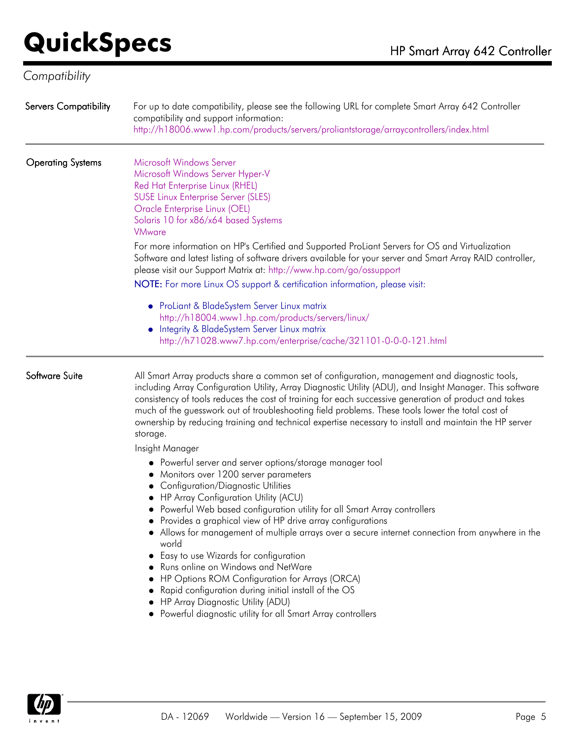### *Compatibility*

| <b>Servers Compatibility</b> | For up to date compatibility, please see the following URL for complete Smart Array 642 Controller<br>compatibility and support information:<br>http://h18006.www1.hp.com/products/servers/proliantstorage/arraycontrollers/index.html                                                                                                                                                                                                                                                                                                                                                                                                                                                                                                                                    |
|------------------------------|---------------------------------------------------------------------------------------------------------------------------------------------------------------------------------------------------------------------------------------------------------------------------------------------------------------------------------------------------------------------------------------------------------------------------------------------------------------------------------------------------------------------------------------------------------------------------------------------------------------------------------------------------------------------------------------------------------------------------------------------------------------------------|
| <b>Operating Systems</b>     | Microsoft Windows Server<br>Microsoft Windows Server Hyper-V<br>Red Hat Enterprise Linux (RHEL)<br><b>SUSE Linux Enterprise Server (SLES)</b><br>Oracle Enterprise Linux (OEL)<br>Solaris 10 for x86/x64 based Systems<br><b>VMware</b>                                                                                                                                                                                                                                                                                                                                                                                                                                                                                                                                   |
|                              | For more information on HP's Certified and Supported ProLiant Servers for OS and Virtualization<br>Software and latest listing of software drivers available for your server and Smart Array RAID controller,<br>please visit our Support Matrix at: http://www.hp.com/go/ossupport<br>NOTE: For more Linux OS support & certification information, please visit:                                                                                                                                                                                                                                                                                                                                                                                                         |
|                              | • ProLiant & BladeSystem Server Linux matrix<br>http://h18004.www1.hp.com/products/servers/linux/<br>• Integrity & BladeSystem Server Linux matrix<br>http://h71028.www7.hp.com/enterprise/cache/321101-0-0-0-121.html                                                                                                                                                                                                                                                                                                                                                                                                                                                                                                                                                    |
| Software Suite               | All Smart Array products share a common set of configuration, management and diagnostic tools,<br>including Array Configuration Utility, Array Diagnostic Utility (ADU), and Insight Manager. This software<br>consistency of tools reduces the cost of training for each successive generation of product and takes<br>much of the guesswork out of troubleshooting field problems. These tools lower the total cost of<br>ownership by reducing training and technical expertise necessary to install and maintain the HP server<br>storage.                                                                                                                                                                                                                            |
|                              | Insight Manager<br>• Powerful server and server options/storage manager tool<br>• Monitors over 1200 server parameters<br>• Configuration/Diagnostic Utilities<br>• HP Array Configuration Utility (ACU)<br>Powerful Web based configuration utility for all Smart Array controllers<br>• Provides a graphical view of HP drive array configurations<br>• Allows for management of multiple arrays over a secure internet connection from anywhere in the<br>world<br>• Easy to use Wizards for configuration<br>• Runs online on Windows and NetWare<br>• HP Options ROM Configuration for Arrays (ORCA)<br>Rapid configuration during initial install of the OS<br>• HP Array Diagnostic Utility (ADU)<br>• Powerful diagnostic utility for all Smart Array controllers |

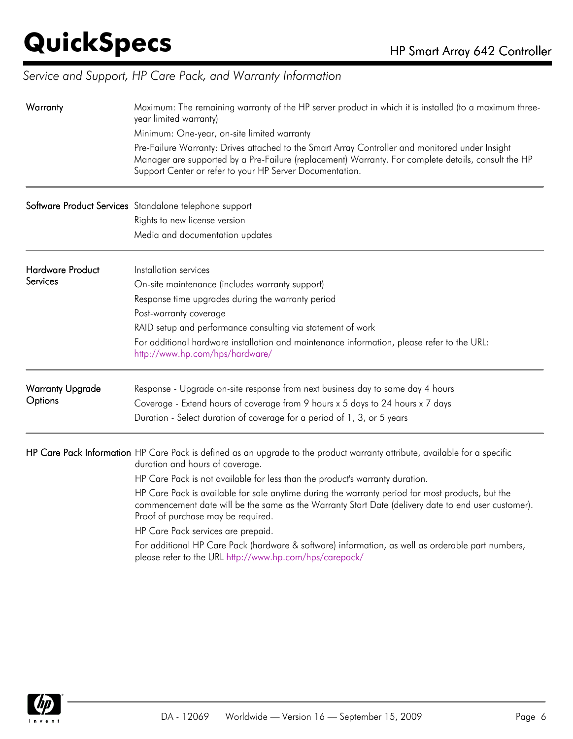### *Service and Support, HP Care Pack, and Warranty Information*

| Warranty                            | Maximum: The remaining warranty of the HP server product in which it is installed (to a maximum three-<br>year limited warranty)<br>Minimum: One-year, on-site limited warranty<br>Pre-Failure Warranty: Drives attached to the Smart Array Controller and monitored under Insight<br>Manager are supported by a Pre-Failure (replacement) Warranty. For complete details, consult the HP<br>Support Center or refer to your HP Server Documentation.                                                                                                                                                                                                                                                |
|-------------------------------------|------------------------------------------------------------------------------------------------------------------------------------------------------------------------------------------------------------------------------------------------------------------------------------------------------------------------------------------------------------------------------------------------------------------------------------------------------------------------------------------------------------------------------------------------------------------------------------------------------------------------------------------------------------------------------------------------------|
|                                     | Software Product Services Standalone telephone support<br>Rights to new license version<br>Media and documentation updates                                                                                                                                                                                                                                                                                                                                                                                                                                                                                                                                                                           |
| <b>Hardware Product</b><br>Services | Installation services<br>On-site maintenance (includes warranty support)<br>Response time upgrades during the warranty period<br>Post-warranty coverage<br>RAID setup and performance consulting via statement of work<br>For additional hardware installation and maintenance information, please refer to the URL:<br>http://www.hp.com/hps/hardware/                                                                                                                                                                                                                                                                                                                                              |
| <b>Warranty Upgrade</b><br>Options  | Response - Upgrade on-site response from next business day to same day 4 hours<br>Coverage - Extend hours of coverage from 9 hours x 5 days to 24 hours x 7 days<br>Duration - Select duration of coverage for a period of 1, 3, or 5 years                                                                                                                                                                                                                                                                                                                                                                                                                                                          |
|                                     | HP Care Pack Information HP Care Pack is defined as an upgrade to the product warranty attribute, available for a specific<br>duration and hours of coverage.<br>HP Care Pack is not available for less than the product's warranty duration.<br>HP Care Pack is available for sale anytime during the warranty period for most products, but the<br>commencement date will be the same as the Warranty Start Date (delivery date to end user customer).<br>Proof of purchase may be required.<br>HP Care Pack services are prepaid.<br>For additional HP Care Pack (hardware & software) information, as well as orderable part numbers,<br>please refer to the URL http://www.hp.com/hps/carepack/ |

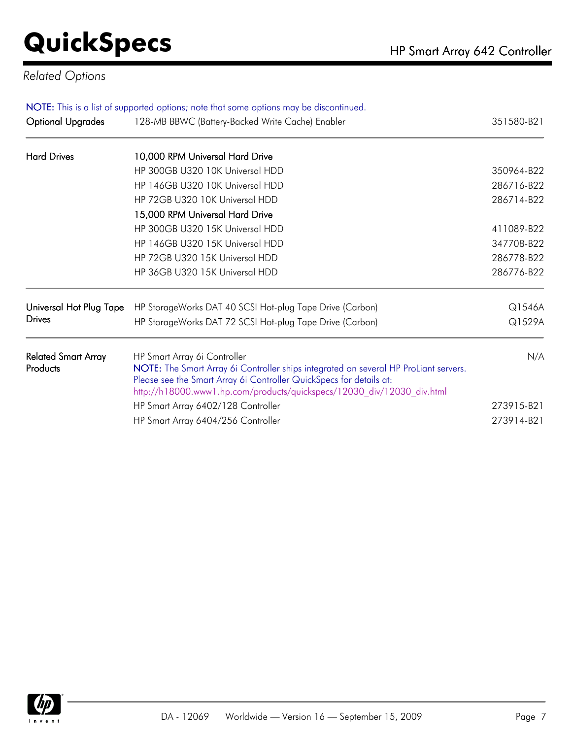#### *Related Options*

| NOTE: This is a list of supported options; note that some options may be discontinued. |                                                                                                                                                                                                                                       |            |  |
|----------------------------------------------------------------------------------------|---------------------------------------------------------------------------------------------------------------------------------------------------------------------------------------------------------------------------------------|------------|--|
| <b>Optional Upgrades</b>                                                               | 128-MB BBWC (Battery-Backed Write Cache) Enabler                                                                                                                                                                                      | 351580-B21 |  |
| <b>Hard Drives</b>                                                                     | 10,000 RPM Universal Hard Drive                                                                                                                                                                                                       |            |  |
|                                                                                        | HP 300GB U320 10K Universal HDD                                                                                                                                                                                                       | 350964-B22 |  |
|                                                                                        | HP 146GB U320 10K Universal HDD                                                                                                                                                                                                       | 286716-B22 |  |
|                                                                                        | HP 72GB U320 10K Universal HDD                                                                                                                                                                                                        | 286714-B22 |  |
|                                                                                        | 15,000 RPM Universal Hard Drive                                                                                                                                                                                                       |            |  |
|                                                                                        | HP 300GB U320 15K Universal HDD                                                                                                                                                                                                       | 411089-B22 |  |
|                                                                                        | HP 146GB U320 15K Universal HDD                                                                                                                                                                                                       | 347708-B22 |  |
|                                                                                        | HP 72GB U320 15K Universal HDD                                                                                                                                                                                                        | 286778-B22 |  |
|                                                                                        | HP 36GB U320 15K Universal HDD                                                                                                                                                                                                        | 286776-B22 |  |
| Universal Hot Plug Tape                                                                | HP StorageWorks DAT 40 SCSI Hot-plug Tape Drive (Carbon)                                                                                                                                                                              | Q1546A     |  |
| <b>Drives</b>                                                                          | HP StorageWorks DAT 72 SCSI Hot-plug Tape Drive (Carbon)                                                                                                                                                                              | Q1529A     |  |
| <b>Related Smart Array</b>                                                             | HP Smart Array 6i Controller                                                                                                                                                                                                          | N/A        |  |
| Products                                                                               | NOTE: The Smart Array 6i Controller ships integrated on several HP ProLiant servers.<br>Please see the Smart Array 6i Controller QuickSpecs for details at:<br>http://h18000.www1.hp.com/products/quickspecs/12030_div/12030_div.html |            |  |
|                                                                                        | HP Smart Array 6402/128 Controller                                                                                                                                                                                                    | 273915-B21 |  |
|                                                                                        | HP Smart Array 6404/256 Controller                                                                                                                                                                                                    | 273914-B21 |  |

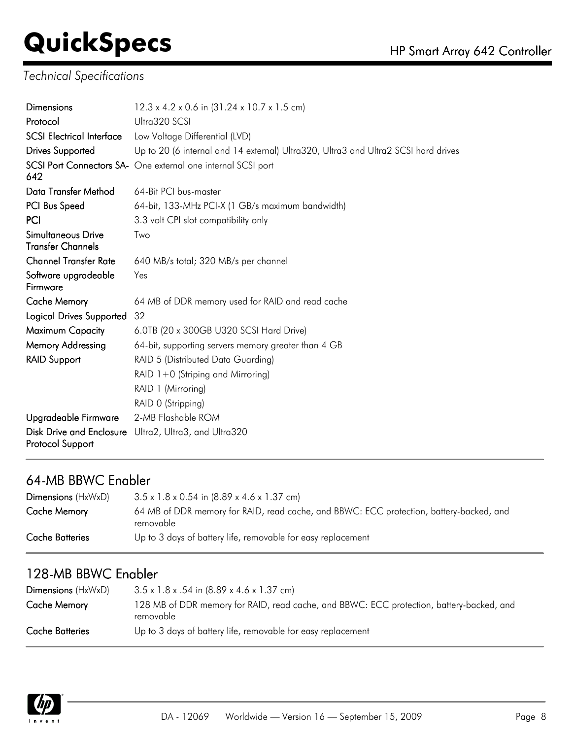### *Technical Specifications*

| <b>Dimensions</b>                                     | 12.3 x 4.2 x 0.6 in (31.24 x 10.7 x 1.5 cm)                                        |  |
|-------------------------------------------------------|------------------------------------------------------------------------------------|--|
| Protocol                                              | Ultra320 SCSI                                                                      |  |
| <b>SCSI Electrical Interface</b>                      | Low Voltage Differential (LVD)                                                     |  |
| <b>Drives Supported</b>                               | Up to 20 (6 internal and 14 external) Ultra320, Ultra3 and Ultra2 SCSI hard drives |  |
| 642                                                   | SCSI Port Connectors SA- One external one internal SCSI port                       |  |
| Data Transfer Method                                  | 64-Bit PCI bus-master                                                              |  |
| PCI Bus Speed                                         | 64-bit, 133-MHz PCI-X (1 GB/s maximum bandwidth)                                   |  |
| PCI                                                   | 3.3 volt CPI slot compatibility only                                               |  |
| <b>Simultaneous Drive</b><br><b>Transfer Channels</b> | Two                                                                                |  |
| <b>Channel Transfer Rate</b>                          | 640 MB/s total; 320 MB/s per channel                                               |  |
| Software upgradeable<br>Firmware                      | Yes                                                                                |  |
| <b>Cache Memory</b>                                   | 64 MB of DDR memory used for RAID and read cache                                   |  |
| <b>Logical Drives Supported</b>                       | 32                                                                                 |  |
| Maximum Capacity                                      | 6.0TB (20 x 300GB U320 SCSI Hard Drive)                                            |  |
| <b>Memory Addressing</b>                              | 64-bit, supporting servers memory greater than 4 GB                                |  |
| <b>RAID Support</b>                                   | RAID 5 (Distributed Data Guarding)                                                 |  |
|                                                       | RAID $1+0$ (Striping and Mirroring)                                                |  |
|                                                       | RAID 1 (Mirroring)                                                                 |  |
|                                                       | RAID 0 (Stripping)                                                                 |  |
| Upgradeable Firmware                                  | 2-MB Flashable ROM                                                                 |  |
| <b>Disk Drive and Enclosure</b><br>Protocol Support   | Ultra2, Ultra3, and Ultra320                                                       |  |

#### 64-MB BBWC Enabler

| $Dimensions$ ( $HxWxD$ ) | $3.5 \times 1.8 \times 0.54$ in $(8.89 \times 4.6 \times 1.37$ cm)                                   |
|--------------------------|------------------------------------------------------------------------------------------------------|
| Cache Memory             | 64 MB of DDR memory for RAID, read cache, and BBWC: ECC protection, battery-backed, and<br>removable |
| Cache Batteries          | Up to 3 days of battery life, removable for easy replacement                                         |

#### 128-MB BBWC Enabler

| $Dimensions$ ( $HxWxD$ ) | $3.5 \times 1.8 \times .54$ in $(8.89 \times 4.6 \times 1.37$ cm)                                     |
|--------------------------|-------------------------------------------------------------------------------------------------------|
| Cache Memory             | 128 MB of DDR memory for RAID, read cache, and BBWC: ECC protection, battery-backed, and<br>removable |
| Cache Batteries          | Up to 3 days of battery life, removable for easy replacement                                          |